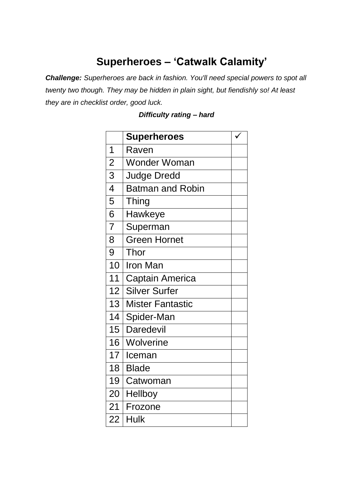## **Superheroes – 'Catwalk Calamity'**

*Challenge: Superheroes are back in fashion. You'll need special powers to spot all twenty two though. They may be hidden in plain sight, but fiendishly so! At least they are in checklist order, good luck.*

|                 | <b>Superheroes</b>      |  |
|-----------------|-------------------------|--|
| 1               | Raven                   |  |
| $\overline{2}$  | <b>Wonder Woman</b>     |  |
| 3               | <b>Judge Dredd</b>      |  |
| $\overline{4}$  | <b>Batman and Robin</b> |  |
| 5               | Thing                   |  |
| $\overline{6}$  | Hawkeye                 |  |
| $\overline{7}$  | Superman                |  |
| 8               | <b>Green Hornet</b>     |  |
| 9               | Thor                    |  |
| 10              | <b>Iron Man</b>         |  |
| 11              | <b>Captain America</b>  |  |
| 12 <sup>°</sup> | <b>Silver Surfer</b>    |  |
| 13              | <b>Mister Fantastic</b> |  |
| 14              | Spider-Man              |  |
| 15 <sub>1</sub> | <b>Daredevil</b>        |  |
| 16              | Wolverine               |  |
| 17 <sup>1</sup> | Iceman                  |  |
| 18              | <b>Blade</b>            |  |
| 19              | Catwoman                |  |
| 20 <sup>1</sup> | Hellboy                 |  |
| 21              | Frozone                 |  |
| 22              | Hulk                    |  |

## *Difficulty rating – hard*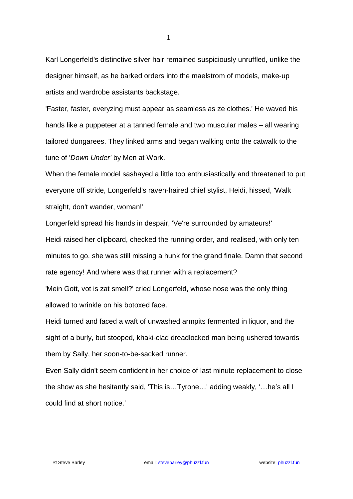Karl Longerfeld's distinctive silver hair remained suspiciously unruffled, unlike the designer himself, as he barked orders into the maelstrom of models, make-up artists and wardrobe assistants backstage.

'Faster, faster, everyzing must appear as seamless as ze clothes.' He waved his hands like a puppeteer at a tanned female and two muscular males – all wearing tailored dungarees. They linked arms and began walking onto the catwalk to the tune of '*Down Under'* by Men at Work.

When the female model sashayed a little too enthusiastically and threatened to put everyone off stride, Longerfeld's raven-haired chief stylist, Heidi, hissed, 'Walk straight, don't wander, woman!'

Longerfeld spread his hands in despair, 'Ve're surrounded by amateurs!' Heidi raised her clipboard, checked the running order, and realised, with only ten minutes to go, she was still missing a hunk for the grand finale. Damn that second rate agency! And where was that runner with a replacement?

'Mein Gott, vot is zat smell?' cried Longerfeld, whose nose was the only thing allowed to wrinkle on his botoxed face.

Heidi turned and faced a waft of unwashed armpits fermented in liquor, and the sight of a burly, but stooped, khaki-clad dreadlocked man being ushered towards them by Sally, her soon-to-be-sacked runner.

Even Sally didn't seem confident in her choice of last minute replacement to close the show as she hesitantly said, 'This is…Tyrone…' adding weakly, '…he's all I could find at short notice.'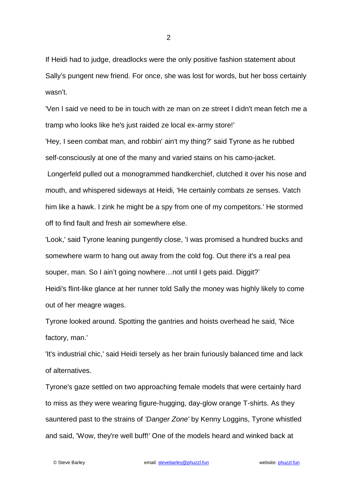If Heidi had to judge, dreadlocks were the only positive fashion statement about Sally's pungent new friend. For once, she was lost for words, but her boss certainly wasn't.

'Ven I said ve need to be in touch with ze man on ze street I didn't mean fetch me a tramp who looks like he's just raided ze local ex-army store!'

'Hey, I seen combat man, and robbin' ain't my thing?' said Tyrone as he rubbed self-consciously at one of the many and varied stains on his camo-jacket.

Longerfeld pulled out a monogrammed handkerchief, clutched it over his nose and mouth, and whispered sideways at Heidi, 'He certainly combats ze senses. Vatch him like a hawk. I zink he might be a spy from one of my competitors.' He stormed off to find fault and fresh air somewhere else.

'Look,' said Tyrone leaning pungently close, 'I was promised a hundred bucks and somewhere warm to hang out away from the cold fog. Out there it's a real pea souper, man. So I ain't going nowhere...not until I gets paid. Diggit?' Heidi's flint-like glance at her runner told Sally the money was highly likely to come out of her meagre wages.

Tyrone looked around. Spotting the gantries and hoists overhead he said, 'Nice factory, man.'

'It's industrial chic,' said Heidi tersely as her brain furiously balanced time and lack of alternatives.

Tyrone's gaze settled on two approaching female models that were certainly hard to miss as they were wearing figure-hugging, day-glow orange T-shirts. As they sauntered past to the strains of *'Danger Zone'* by Kenny Loggins, Tyrone whistled and said, 'Wow, they're well buff!' One of the models heard and winked back at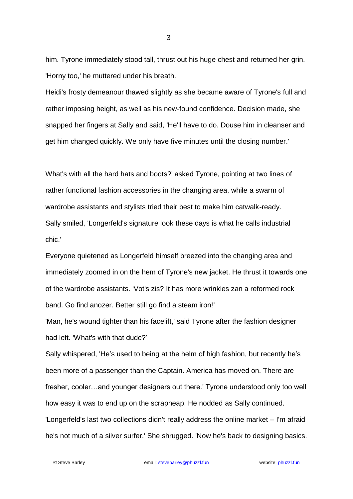him. Tyrone immediately stood tall, thrust out his huge chest and returned her grin. 'Horny too,' he muttered under his breath.

Heidi's frosty demeanour thawed slightly as she became aware of Tyrone's full and rather imposing height, as well as his new-found confidence. Decision made, she snapped her fingers at Sally and said, 'He'll have to do. Douse him in cleanser and get him changed quickly. We only have five minutes until the closing number.'

What's with all the hard hats and boots?' asked Tyrone, pointing at two lines of rather functional fashion accessories in the changing area, while a swarm of wardrobe assistants and stylists tried their best to make him catwalk-ready. Sally smiled, 'Longerfeld's signature look these days is what he calls industrial chic.'

Everyone quietened as Longerfeld himself breezed into the changing area and immediately zoomed in on the hem of Tyrone's new jacket. He thrust it towards one of the wardrobe assistants. 'Vot's zis? It has more wrinkles zan a reformed rock band. Go find anozer. Better still go find a steam iron!'

'Man, he's wound tighter than his facelift,' said Tyrone after the fashion designer had left. 'What's with that dude?'

Sally whispered, 'He's used to being at the helm of high fashion, but recently he's been more of a passenger than the Captain. America has moved on. There are fresher, cooler…and younger designers out there.' Tyrone understood only too well how easy it was to end up on the scrapheap. He nodded as Sally continued. 'Longerfeld's last two collections didn't really address the online market – I'm afraid he's not much of a silver surfer.' She shrugged. 'Now he's back to designing basics.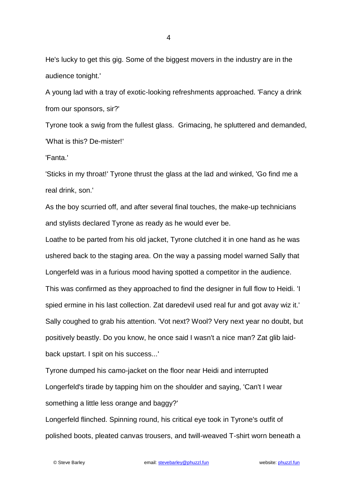He's lucky to get this gig. Some of the biggest movers in the industry are in the audience tonight.'

A young lad with a tray of exotic-looking refreshments approached. 'Fancy a drink from our sponsors, sir?'

Tyrone took a swig from the fullest glass. Grimacing, he spluttered and demanded, 'What is this? De-mister!'

'Fanta.'

'Sticks in my throat!' Tyrone thrust the glass at the lad and winked, 'Go find me a real drink, son.'

As the boy scurried off, and after several final touches, the make-up technicians and stylists declared Tyrone as ready as he would ever be.

Loathe to be parted from his old jacket, Tyrone clutched it in one hand as he was ushered back to the staging area. On the way a passing model warned Sally that Longerfeld was in a furious mood having spotted a competitor in the audience. This was confirmed as they approached to find the designer in full flow to Heidi. 'I spied ermine in his last collection. Zat daredevil used real fur and got avay wiz it.' Sally coughed to grab his attention. 'Vot next? Wool? Very next year no doubt, but positively beastly. Do you know, he once said I wasn't a nice man? Zat glib laidback upstart. I spit on his success...'

Tyrone dumped his camo-jacket on the floor near Heidi and interrupted Longerfeld's tirade by tapping him on the shoulder and saying, 'Can't I wear something a little less orange and baggy?'

Longerfeld flinched. Spinning round, his critical eye took in Tyrone's outfit of polished boots, pleated canvas trousers, and twill-weaved T-shirt worn beneath a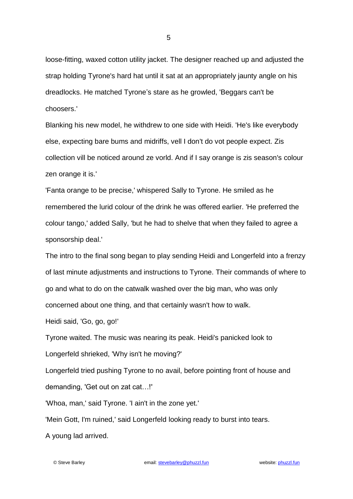loose-fitting, waxed cotton utility jacket. The designer reached up and adjusted the strap holding Tyrone's hard hat until it sat at an appropriately jaunty angle on his dreadlocks. He matched Tyrone's stare as he growled, 'Beggars can't be choosers.'

Blanking his new model, he withdrew to one side with Heidi. 'He's like everybody else, expecting bare bums and midriffs, vell I don't do vot people expect. Zis collection vill be noticed around ze vorld. And if I say orange is zis season's colour zen orange it is.'

'Fanta orange to be precise,' whispered Sally to Tyrone. He smiled as he remembered the lurid colour of the drink he was offered earlier. 'He preferred the colour tango,' added Sally, 'but he had to shelve that when they failed to agree a sponsorship deal.'

The intro to the final song began to play sending Heidi and Longerfeld into a frenzy of last minute adjustments and instructions to Tyrone. Their commands of where to go and what to do on the catwalk washed over the big man, who was only concerned about one thing, and that certainly wasn't how to walk.

Heidi said, 'Go, go, go!'

Tyrone waited. The music was nearing its peak. Heidi's panicked look to Longerfeld shrieked, 'Why isn't he moving?'

Longerfeld tried pushing Tyrone to no avail, before pointing front of house and demanding, 'Get out on zat cat…!'

'Whoa, man,' said Tyrone. 'I ain't in the zone yet.'

'Mein Gott, I'm ruined,' said Longerfeld looking ready to burst into tears.

A young lad arrived.

5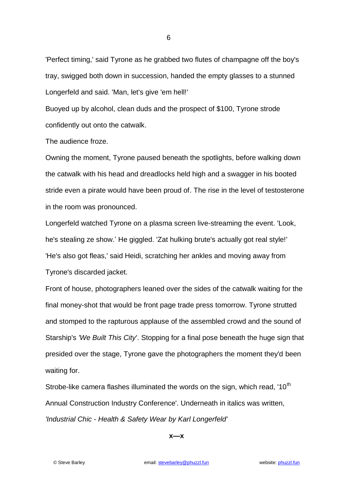'Perfect timing,' said Tyrone as he grabbed two flutes of champagne off the boy's tray, swigged both down in succession, handed the empty glasses to a stunned Longerfeld and said. 'Man, let's give 'em hell!'

Buoyed up by alcohol, clean duds and the prospect of \$100, Tyrone strode confidently out onto the catwalk.

The audience froze.

Owning the moment, Tyrone paused beneath the spotlights, before walking down the catwalk with his head and dreadlocks held high and a swagger in his booted stride even a pirate would have been proud of. The rise in the level of testosterone in the room was pronounced.

Longerfeld watched Tyrone on a plasma screen live-streaming the event. 'Look, he's stealing ze show.' He giggled. 'Zat hulking brute's actually got real style!' 'He's also got fleas,' said Heidi, scratching her ankles and moving away from Tyrone's discarded jacket.

Front of house, photographers leaned over the sides of the catwalk waiting for the final money-shot that would be front page trade press tomorrow. Tyrone strutted and stomped to the rapturous applause of the assembled crowd and the sound of Starship's *'We Built This City*'. Stopping for a final pose beneath the huge sign that presided over the stage, Tyrone gave the photographers the moment they'd been waiting for.

Strobe-like camera flashes illuminated the words on the sign, which read, '10<sup>th</sup> Annual Construction Industry Conference'. Underneath in italics was written, *'Industrial Chic - Health & Safety Wear by Karl Longerfeld'*

**x—x**